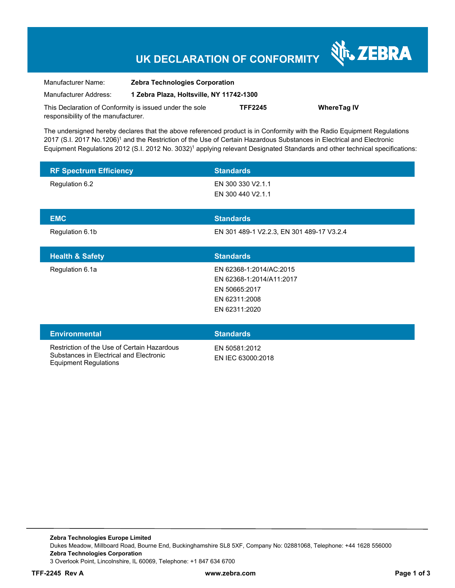## **UK DECLARATION OF CONFORMITY**

Nr. ZEBRA

| Manufacturer Name:                                      | <b>Zebra Technologies Corporation</b><br>1 Zebra Plaza, Holtsville, NY 11742-1300 |                |                    |
|---------------------------------------------------------|-----------------------------------------------------------------------------------|----------------|--------------------|
| Manufacturer Address:                                   |                                                                                   |                |                    |
| This Declaration of Conformity is issued under the sole |                                                                                   | <b>TFF2245</b> | <b>WhereTag IV</b> |
| responsibility of the manufacturer.                     |                                                                                   |                |                    |

The undersigned hereby declares that the above referenced product is in Conformity with the Radio Equipment Regulations 2017 (S.I. 2017 No.1206)1 and the Restriction of the Use of Certain Hazardous Substances in Electrical and Electronic Equipment Regulations 2012 (S.I. 2012 No. 3032)1 applying relevant Designated Standards and other technical specifications:

| <b>RF Spectrum Efficiency</b>                                                          | <b>Standards</b>                                                                                       |
|----------------------------------------------------------------------------------------|--------------------------------------------------------------------------------------------------------|
| Regulation 6.2                                                                         | EN 300 330 V2.1.1<br>EN 300 440 V2.1.1                                                                 |
| <b>EMC</b>                                                                             | <b>Standards</b>                                                                                       |
| Regulation 6.1b                                                                        | EN 301 489-1 V2.2.3, EN 301 489-17 V3.2.4                                                              |
| <b>Health &amp; Safety</b>                                                             | <b>Standards</b>                                                                                       |
| Regulation 6.1a                                                                        | EN 62368-1:2014/AC:2015<br>EN 62368-1:2014/A11:2017<br>EN 50665:2017<br>EN 62311:2008<br>EN 62311:2020 |
| <b>Environmental</b>                                                                   | <b>Standards</b>                                                                                       |
| Restriction of the Use of Certain Hazardous<br>Substances in Electrical and Electronic | EN 50581:2012<br>EN IEC 63000:2018                                                                     |

**Zebra Technologies Europe Limited** Dukes Meadow, Millboard Road, Bourne End, Buckinghamshire SL8 5XF, Company No: 02881068, Telephone: +44 1628 556000 **Zebra Technologies Corporation**  3 Overlook Point, Lincolnshire, IL 60069, Telephone: +1 847 634 6700

Equipment Regulations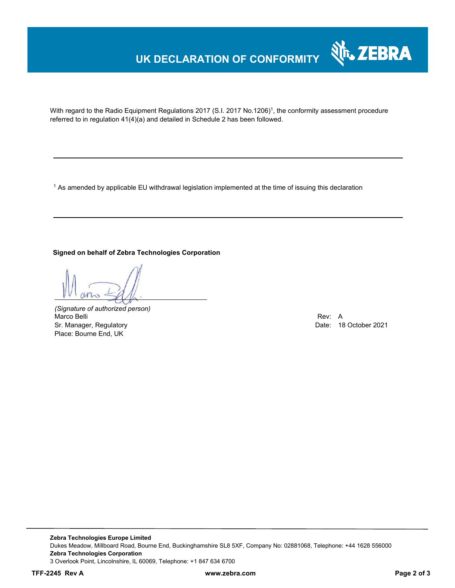### **UK DECLARATION OF CONFORMITY**



With regard to the Radio Equipment Regulations 2017 (S.I. 2017 No.1206)<sup>1</sup>, the conformity assessment procedure referred to in regulation 41(4)(a) and detailed in Schedule 2 has been followed.

<sup>1</sup> As amended by applicable EU withdrawal legislation implemented at the time of issuing this declaration

#### **Signed on behalf of Zebra Technologies Corporation**

*(Signature of authorized person)* Marco Belli Rev: A Albert Rev: A Albert Rev: A Albert Rev: A Albert Rev: A Albert Rev: A Albert Rev: A Albert R Sr. Manager, Regulatory Date: 18 October 2021 Place: Bourne End, UK